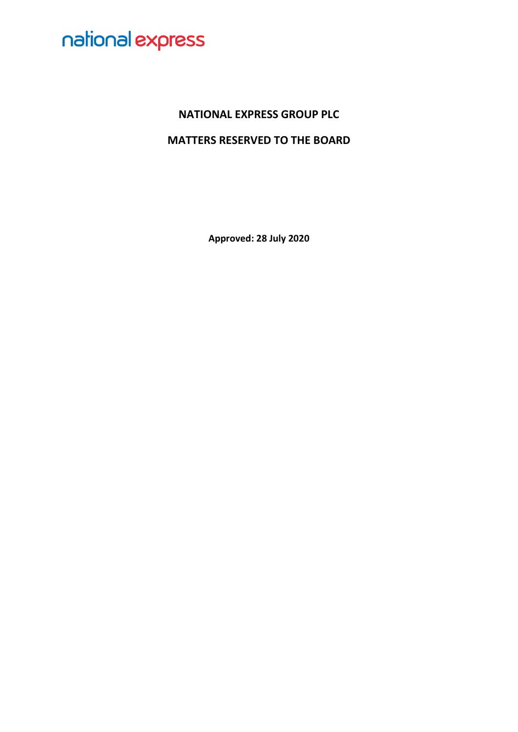### **NATIONAL EXPRESS GROUP PLC**

### **MATTERS RESERVED TO THE BOARD**

**Approved: 28 July 2020**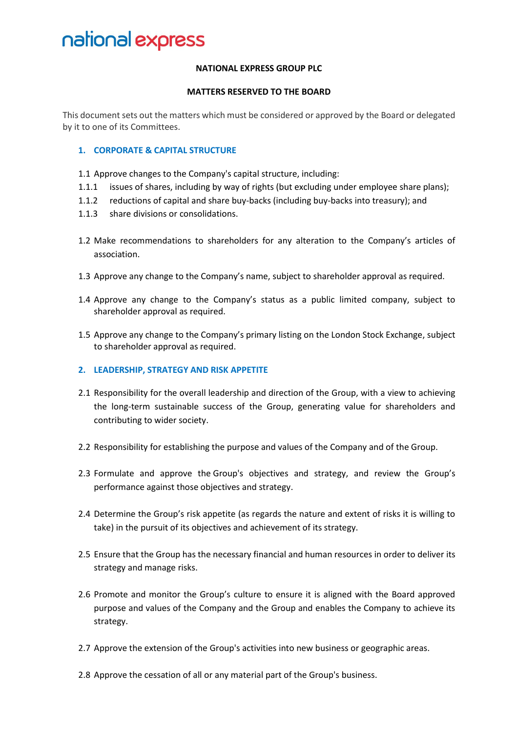#### **NATIONAL EXPRESS GROUP PLC**

#### **MATTERS RESERVED TO THE BOARD**

This document sets out the matters which must be considered or approved by the Board or delegated by it to one of its Committees.

#### **1. CORPORATE & CAPITAL STRUCTURE**

- 1.1 Approve changes to the Company's capital structure, including:
- 1.1.1 issues of shares, including by way of rights (but excluding under employee share plans);
- 1.1.2 reductions of capital and share buy-backs (including buy-backs into treasury); and
- 1.1.3 share divisions or consolidations.
- 1.2 Make recommendations to shareholders for any alteration to the Company's articles of association.
- 1.3 Approve any change to the Company's name, subject to shareholder approval as required.
- 1.4 Approve any change to the Company's status as a public limited company, subject to shareholder approval as required.
- 1.5 Approve any change to the Company's primary listing on the London Stock Exchange, subject to shareholder approval as required.

#### **2. LEADERSHIP, STRATEGY AND RISK APPETITE**

- 2.1 Responsibility for the overall leadership and direction of the Group, with a view to achieving the long-term sustainable success of the Group, generating value for shareholders and contributing to wider society.
- 2.2 Responsibility for establishing the purpose and values of the Company and of the Group.
- 2.3 Formulate and approve the Group's objectives and strategy, and review the Group's performance against those objectives and strategy.
- 2.4 Determine the Group's risk appetite (as regards the nature and extent of risks it is willing to take) in the pursuit of its objectives and achievement of its strategy.
- 2.5 Ensure that the Group has the necessary financial and human resources in order to deliver its strategy and manage risks.
- 2.6 Promote and monitor the Group's culture to ensure it is aligned with the Board approved purpose and values of the Company and the Group and enables the Company to achieve its strategy.
- 2.7 Approve the extension of the Group's activities into new business or geographic areas.
- 2.8 Approve the cessation of all or any material part of the Group's business.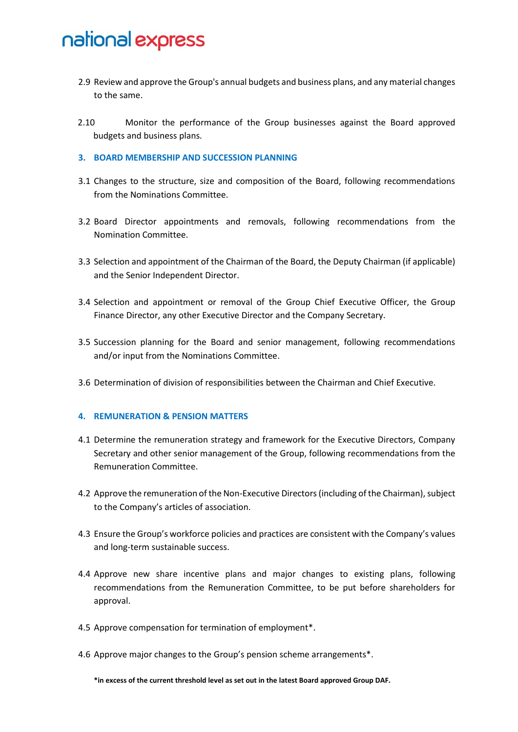- 2.9 Review and approve the Group's annual budgets and business plans, and any material changes to the same.
- 2.10 Monitor the performance of the Group businesses against the Board approved budgets and business plans.

#### **3. BOARD MEMBERSHIP AND SUCCESSION PLANNING**

- 3.1 Changes to the structure, size and composition of the Board, following recommendations from the Nominations Committee.
- 3.2 Board Director appointments and removals, following recommendations from the Nomination Committee.
- 3.3 Selection and appointment of the Chairman of the Board, the Deputy Chairman (if applicable) and the Senior Independent Director.
- 3.4 Selection and appointment or removal of the Group Chief Executive Officer, the Group Finance Director, any other Executive Director and the Company Secretary.
- 3.5 Succession planning for the Board and senior management, following recommendations and/or input from the Nominations Committee.
- 3.6 Determination of division of responsibilities between the Chairman and Chief Executive.

#### **4. REMUNERATION & PENSION MATTERS**

- 4.1 Determine the remuneration strategy and framework for the Executive Directors, Company Secretary and other senior management of the Group, following recommendations from the Remuneration Committee.
- 4.2 Approve the remuneration of the Non-Executive Directors(including of the Chairman), subject to the Company's articles of association.
- 4.3 Ensure the Group's workforce policies and practices are consistent with the Company's values and long-term sustainable success.
- 4.4 Approve new share incentive plans and major changes to existing plans, following recommendations from the Remuneration Committee, to be put before shareholders for approval.
- 4.5 Approve compensation for termination of employment\*.
- 4.6 Approve major changes to the Group's pension scheme arrangements\*.

**\*in excess of the current threshold level as set out in the latest Board approved Group DAF.**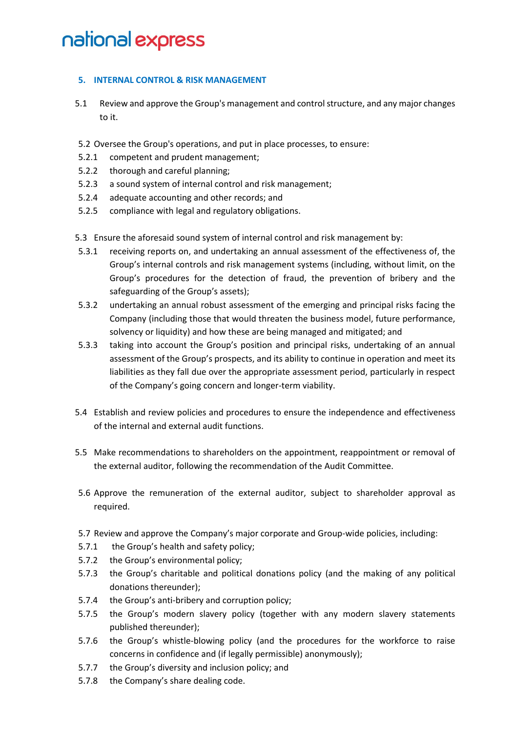#### **5. INTERNAL CONTROL & RISK MANAGEMENT**

- 5.1 Review and approve the Group's management and control structure, and any major changes to it.
- 5.2 Oversee the Group's operations, and put in place processes, to ensure:
- 5.2.1 competent and prudent management;
- 5.2.2 thorough and careful planning;
- 5.2.3 a sound system of internal control and risk management;
- 5.2.4 adequate accounting and other records; and
- 5.2.5 compliance with legal and regulatory obligations.
- 5.3 Ensure the aforesaid sound system of internal control and risk management by:
- 5.3.1 receiving reports on, and undertaking an annual assessment of the effectiveness of, the Group's internal controls and risk management systems (including, without limit, on the Group's procedures for the detection of fraud, the prevention of bribery and the safeguarding of the Group's assets);
- 5.3.2 undertaking an annual robust assessment of the emerging and principal risks facing the Company (including those that would threaten the business model, future performance, solvency or liquidity) and how these are being managed and mitigated; and
- 5.3.3 taking into account the Group's position and principal risks, undertaking of an annual assessment of the Group's prospects, and its ability to continue in operation and meet its liabilities as they fall due over the appropriate assessment period, particularly in respect of the Company's going concern and longer-term viability.
- 5.4 Establish and review policies and procedures to ensure the independence and effectiveness of the internal and external audit functions.
- 5.5 Make recommendations to shareholders on the appointment, reappointment or removal of the external auditor, following the recommendation of the Audit Committee.
- 5.6 Approve the remuneration of the external auditor, subject to shareholder approval as required.
- 5.7 Review and approve the Company's major corporate and Group-wide policies, including:
- 5.7.1 the Group's health and safety policy;
- 5.7.2 the Group's environmental policy;
- 5.7.3 the Group's charitable and political donations policy (and the making of any political donations thereunder);
- 5.7.4 the Group's anti-bribery and corruption policy;
- 5.7.5 the Group's modern slavery policy (together with any modern slavery statements published thereunder);
- 5.7.6 the Group's whistle-blowing policy (and the procedures for the workforce to raise concerns in confidence and (if legally permissible) anonymously);
- 5.7.7 the Group's diversity and inclusion policy; and
- 5.7.8 the Company's share dealing code.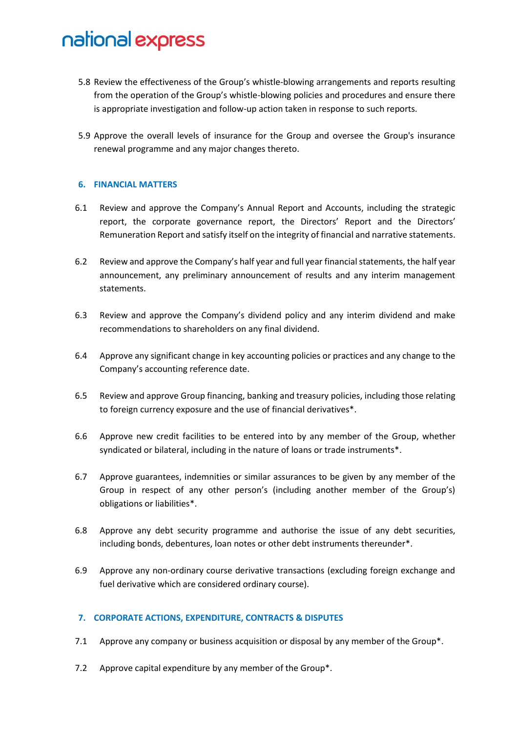- 5.8 Review the effectiveness of the Group's whistle-blowing arrangements and reports resulting from the operation of the Group's whistle-blowing policies and procedures and ensure there is appropriate investigation and follow-up action taken in response to such reports.
- 5.9 Approve the overall levels of insurance for the Group and oversee the Group's insurance renewal programme and any major changes thereto.

#### **6. FINANCIAL MATTERS**

- 6.1 Review and approve the Company's Annual Report and Accounts, including the strategic report, the corporate governance report, the Directors' Report and the Directors' Remuneration Report and satisfy itself on the integrity of financial and narrative statements.
- 6.2 Review and approve the Company's half year and full year financial statements, the half year announcement, any preliminary announcement of results and any interim management statements.
- 6.3 Review and approve the Company's dividend policy and any interim dividend and make recommendations to shareholders on any final dividend.
- 6.4 Approve any significant change in key accounting policies or practices and any change to the Company's accounting reference date.
- 6.5 Review and approve Group financing, banking and treasury policies, including those relating to foreign currency exposure and the use of financial derivatives\*.
- 6.6 Approve new credit facilities to be entered into by any member of the Group, whether syndicated or bilateral, including in the nature of loans or trade instruments\*.
- 6.7 Approve guarantees, indemnities or similar assurances to be given by any member of the Group in respect of any other person's (including another member of the Group's) obligations or liabilities\*.
- 6.8 Approve any debt security programme and authorise the issue of any debt securities, including bonds, debentures, loan notes or other debt instruments thereunder\*.
- 6.9 Approve any non-ordinary course derivative transactions (excluding foreign exchange and fuel derivative which are considered ordinary course).

#### **7. CORPORATE ACTIONS, EXPENDITURE, CONTRACTS & DISPUTES**

- 7.1 Approve any company or business acquisition or disposal by any member of the Group\*.
- 7.2 Approve capital expenditure by any member of the Group\*.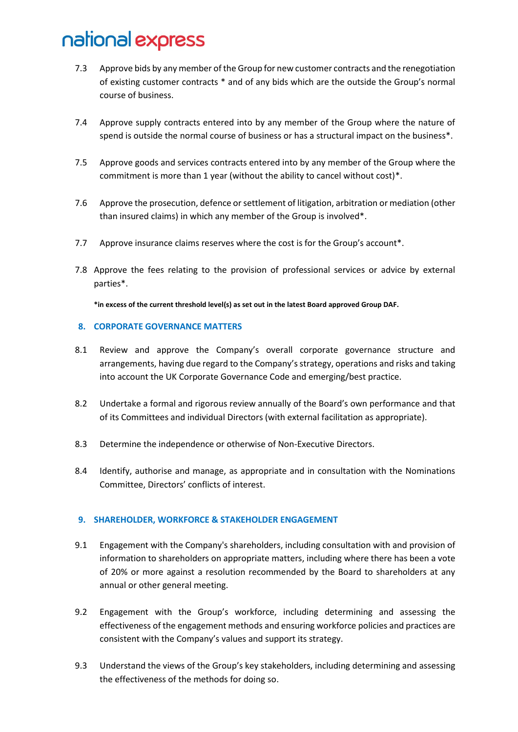- 7.3 Approve bids by any member of the Group for new customer contracts and the renegotiation of existing customer contracts \* and of any bids which are the outside the Group's normal course of business.
- 7.4 Approve supply contracts entered into by any member of the Group where the nature of spend is outside the normal course of business or has a structural impact on the business\*.
- 7.5 Approve goods and services contracts entered into by any member of the Group where the commitment is more than 1 year (without the ability to cancel without cost)\*.
- 7.6 Approve the prosecution, defence or settlement of litigation, arbitration or mediation (other than insured claims) in which any member of the Group is involved\*.
- 7.7 Approve insurance claims reserves where the cost is for the Group's account\*.
- 7.8 Approve the fees relating to the provision of professional services or advice by external parties\*.

**\*in excess of the current threshold level(s) as set out in the latest Board approved Group DAF.**

#### **8. CORPORATE GOVERNANCE MATTERS**

- 8.1 Review and approve the Company's overall corporate governance structure and arrangements, having due regard to the Company's strategy, operations and risks and taking into account the UK Corporate Governance Code and emerging/best practice.
- 8.2 Undertake a formal and rigorous review annually of the Board's own performance and that of its Committees and individual Directors (with external facilitation as appropriate).
- 8.3 Determine the independence or otherwise of Non-Executive Directors.
- 8.4 Identify, authorise and manage, as appropriate and in consultation with the Nominations Committee, Directors' conflicts of interest.

#### **9. SHAREHOLDER, WORKFORCE & STAKEHOLDER ENGAGEMENT**

- 9.1 Engagement with the Company's shareholders, including consultation with and provision of information to shareholders on appropriate matters, including where there has been a vote of 20% or more against a resolution recommended by the Board to shareholders at any annual or other general meeting.
- 9.2 Engagement with the Group's workforce, including determining and assessing the effectiveness of the engagement methods and ensuring workforce policies and practices are consistent with the Company's values and support its strategy.
- 9.3 Understand the views of the Group's key stakeholders, including determining and assessing the effectiveness of the methods for doing so.